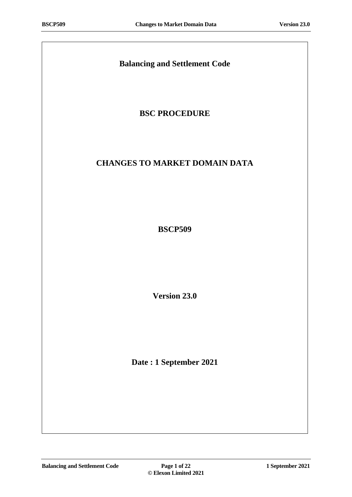# **Balancing and Settlement Code**

# **BSC PROCEDURE**

# **CHANGES TO MARKET DOMAIN DATA**

**BSCP509**

**Version 23.0**

**Date : 1 September 2021**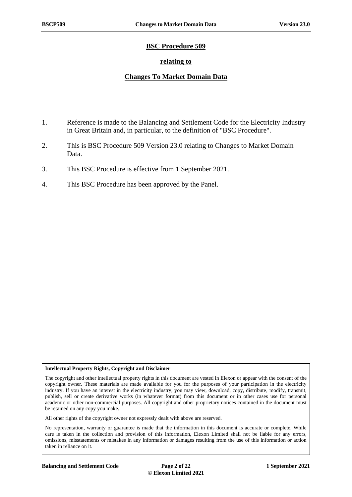### **BSC Procedure 509**

### **relating to**

### **Changes To Market Domain Data**

- 1. Reference is made to the Balancing and Settlement Code for the Electricity Industry in Great Britain and, in particular, to the definition of "BSC Procedure".
- 2. This is BSC Procedure 509 Version 23.0 relating to Changes to Market Domain Data.
- 3. This BSC Procedure is effective from 1 September 2021.
- 4. This BSC Procedure has been approved by the Panel.

#### **Intellectual Property Rights, Copyright and Disclaimer**

The copyright and other intellectual property rights in this document are vested in Elexon or appear with the consent of the copyright owner. These materials are made available for you for the purposes of your participation in the electricity industry. If you have an interest in the electricity industry, you may view, download, copy, distribute, modify, transmit, publish, sell or create derivative works (in whatever format) from this document or in other cases use for personal academic or other non-commercial purposes. All copyright and other proprietary notices contained in the document must be retained on any copy you make.

All other rights of the copyright owner not expressly dealt with above are reserved.

No representation, warranty or guarantee is made that the information in this document is accurate or complete. While care is taken in the collection and provision of this information, Elexon Limited shall not be liable for any errors, omissions, misstatements or mistakes in any information or damages resulting from the use of this information or action taken in reliance on it.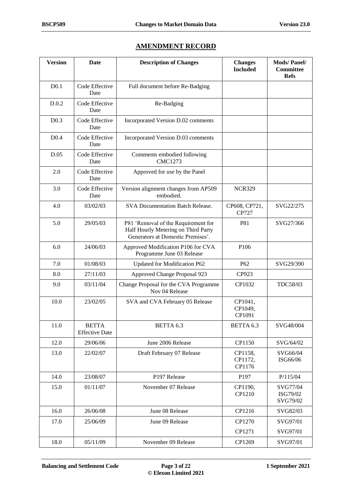### **AMENDMENT RECORD**

| <b>Version</b>   | <b>Date</b>                           | <b>Description of Changes</b>                                                                                   | <b>Changes</b><br><b>Included</b> | <b>Mods/Panel/</b><br><b>Committee</b><br><b>Refs</b> |
|------------------|---------------------------------------|-----------------------------------------------------------------------------------------------------------------|-----------------------------------|-------------------------------------------------------|
| D <sub>0.1</sub> | Code Effective<br>Date                | Full document before Re-Badging                                                                                 |                                   |                                                       |
| D.0.2            | Code Effective<br>Date                | Re-Badging                                                                                                      |                                   |                                                       |
| D <sub>0.3</sub> | Code Effective<br>Date                | Incorporated Version D.02 comments                                                                              |                                   |                                                       |
| D <sub>0.4</sub> | Code Effective<br>Date                | Incorporated Version D.03 comments                                                                              |                                   |                                                       |
| D.05             | Code Effective<br>Date                | Comments embodied following<br><b>CMC1273</b>                                                                   |                                   |                                                       |
| 2.0              | Code Effective<br>Date                | Approved for use by the Panel                                                                                   |                                   |                                                       |
| 3.0              | Code Effective<br>Date                | Version alignment changes from AP509<br>embodied.                                                               | <b>NCR329</b>                     |                                                       |
| 4.0              | 03/02/03                              | <b>SVA Documentation Batch Release.</b>                                                                         | CP608, CP721,<br>CP727            | SVG22/275                                             |
| 5.0              | 29/05/03                              | P81 'Removal of the Requirement for<br>Half Hourly Metering on Third Party<br>Generators at Domestic Premises'. | P81                               | SVG27/366                                             |
| 6.0              | 24/06/03                              | Approved Modification P106 for CVA<br>Programme June 03 Release                                                 | P106                              |                                                       |
| 7.0              | 01/08/03                              | Updated for Modification P62                                                                                    | P <sub>62</sub>                   | SVG29/390                                             |
| 8.0              | 27/11/03                              | Approved Change Proposal 923                                                                                    | CP923                             |                                                       |
| 9.0              | 03/11/04                              | Change Proposal for the CVA Programme<br>Nov 04 Release                                                         | CP1032                            | TDC58/03                                              |
| 10.0             | 23/02/05                              | SVA and CVA February 05 Release                                                                                 | CP1041,<br>CP1049,<br>CP1091      |                                                       |
| 11.0             | <b>BETTA</b><br><b>Effective Date</b> | BETTA 6.3                                                                                                       | BETTA 6.3                         | SVG48/004                                             |
| 12.0             | 29/06/06                              | June 2006 Release                                                                                               | CP1150                            | SVG/64/02                                             |
| 13.0             | 22/02/07                              | Draft February 07 Release                                                                                       | CP1158,<br>CP1172,<br>CP1176      | SVG66/04<br>ISG66/06                                  |
| 14.0             | 23/08/07                              | P197 Release                                                                                                    | P197                              | P/115/04                                              |
| 15.0             | 01/11/07                              | November 07 Release                                                                                             | CP1190,<br>CP1210                 | SVG77/04<br>ISG79/02<br>SVG79/02                      |
| 16.0             | 26/06/08                              | June 08 Release                                                                                                 | CP1216                            | SVG82/03                                              |
| 17.0             | 25/06/09                              | June 09 Release                                                                                                 | CP1270                            | SVG97/01                                              |
|                  |                                       |                                                                                                                 | CP1271                            | SVG97/01                                              |
| 18.0             | 05/11/09                              | November 09 Release                                                                                             | CP1269                            | SVG97/01                                              |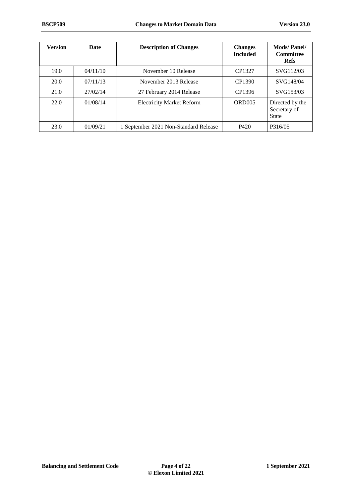| <b>Version</b> | Date     | <b>Description of Changes</b>         | <b>Changes</b><br><b>Included</b> | <b>Mods/Panel/</b><br><b>Committee</b><br><b>Refs</b> |
|----------------|----------|---------------------------------------|-----------------------------------|-------------------------------------------------------|
| 19.0           | 04/11/10 | November 10 Release                   | CP1327                            | SVG112/03                                             |
| 20.0           | 07/11/13 | November 2013 Release                 | CP1390                            | SVG148/04                                             |
| 21.0           | 27/02/14 | 27 February 2014 Release              | CP1396                            | SVG153/03                                             |
| 22.0           | 01/08/14 | <b>Electricity Market Reform</b>      | ORD <sub>005</sub>                | Directed by the<br>Secretary of<br><b>State</b>       |
| 23.0           | 01/09/21 | 1 September 2021 Non-Standard Release | P420                              | P316/05                                               |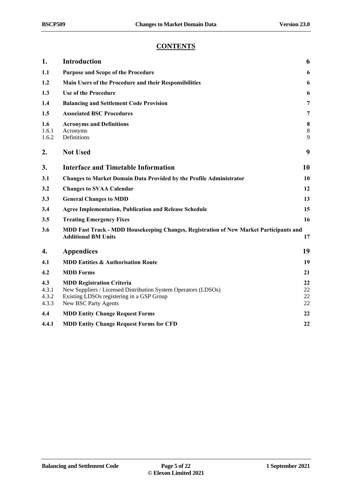### **CONTENTS**

| 1.                             | <b>Introduction</b>                                                                                                                                                     | 6                    |
|--------------------------------|-------------------------------------------------------------------------------------------------------------------------------------------------------------------------|----------------------|
| 1.1                            | <b>Purpose and Scope of the Procedure</b>                                                                                                                               | 6                    |
| 1.2                            | Main Users of the Procedure and their Responsibilities                                                                                                                  | 6                    |
| 1.3                            | <b>Use of the Procedure</b>                                                                                                                                             | 6                    |
| 1.4                            | <b>Balancing and Settlement Code Provision</b>                                                                                                                          | 7                    |
| 1.5                            | <b>Associated BSC Procedures</b>                                                                                                                                        | 7                    |
| 1.6<br>1.6.1<br>1.6.2          | <b>Acronyms and Definitions</b><br>Acronyms<br>Definitions                                                                                                              | 8<br>$8\,$<br>9      |
| 2.                             | <b>Not Used</b>                                                                                                                                                         | 9                    |
| 3.                             | <b>Interface and Timetable Information</b>                                                                                                                              | 10                   |
| 3.1                            | <b>Changes to Market Domain Data Provided by the Profile Administrator</b>                                                                                              | 10                   |
| 3.2                            | <b>Changes to SVAA Calendar</b>                                                                                                                                         | 12                   |
| 3.3                            | <b>General Changes to MDD</b>                                                                                                                                           | 13                   |
| 3.4                            | <b>Agree Implementation, Publication and Release Schedule</b>                                                                                                           | 15                   |
| 3.5                            | <b>Treating Emergency Fixes</b>                                                                                                                                         | 16                   |
| 3.6                            | MDD Fast Track - MDD Housekeeping Changes, Registration of New Market Participants and<br><b>Additional BM Units</b>                                                    | 17                   |
| 4.                             | <b>Appendices</b>                                                                                                                                                       | 19                   |
| 4.1                            | <b>MDD Entities &amp; Authorisation Route</b>                                                                                                                           | 19                   |
| 4.2                            | <b>MDD</b> Forms                                                                                                                                                        | 21                   |
| 4.3<br>4.3.1<br>4.3.2<br>4.3.3 | <b>MDD Registration Criteria</b><br>New Suppliers / Licensed Distribution System Operators (LDSOs)<br>Existing LDSOs registering in a GSP Group<br>New BSC Party Agents | 22<br>22<br>22<br>22 |
| 4.4                            | <b>MDD Entity Change Request Forms</b>                                                                                                                                  | 22                   |
| 4.4.1                          | <b>MDD Entity Change Request Forms for CFD</b>                                                                                                                          | 22                   |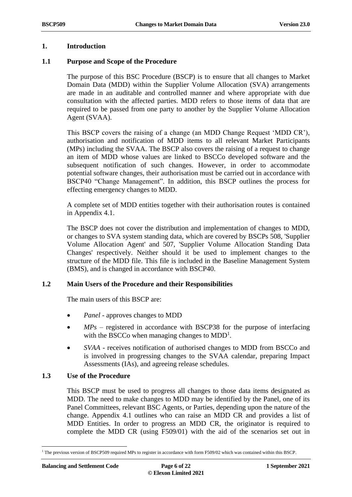#### <span id="page-5-0"></span>**1. Introduction**

#### <span id="page-5-1"></span>**1.1 Purpose and Scope of the Procedure**

The purpose of this BSC Procedure (BSCP) is to ensure that all changes to Market Domain Data (MDD) within the Supplier Volume Allocation (SVA) arrangements are made in an auditable and controlled manner and where appropriate with due consultation with the affected parties. MDD refers to those items of data that are required to be passed from one party to another by the Supplier Volume Allocation Agent (SVAA).

This BSCP covers the raising of a change (an MDD Change Request 'MDD CR'), authorisation and notification of MDD items to all relevant Market Participants (MPs) including the SVAA. The BSCP also covers the raising of a request to change an item of MDD whose values are linked to BSCCo developed software and the subsequent notification of such changes. However, in order to accommodate potential software changes, their authorisation must be carried out in accordance with BSCP40 "Change Management". In addition, this BSCP outlines the process for effecting emergency changes to MDD.

A complete set of MDD entities together with their authorisation routes is contained in Appendix 4.1.

The BSCP does not cover the distribution and implementation of changes to MDD, or changes to SVA system standing data, which are covered by BSCPs 508, 'Supplier Volume Allocation Agent' and 507, 'Supplier Volume Allocation Standing Data Changes' respectively. Neither should it be used to implement changes to the structure of the MDD file. This file is included in the Baseline Management System (BMS), and is changed in accordance with BSCP40.

#### <span id="page-5-2"></span>**1.2 Main Users of the Procedure and their Responsibilities**

The main users of this BSCP are:

- *Panel* approves changes to MDD
- *MPs* registered in accordance with BSCP38 for the purpose of interfacing with the BSCCo when managing changes to  $MDD<sup>1</sup>$ .
- *SVAA -* receives notification of authorised changes to MDD from BSCCo and is involved in progressing changes to the SVAA calendar, preparing Impact Assessments (IAs), and agreeing release schedules.

#### <span id="page-5-3"></span>**1.3 Use of the Procedure**

This BSCP must be used to progress all changes to those data items designated as MDD. The need to make changes to MDD may be identified by the Panel, one of its Panel Committees, relevant BSC Agents, or Parties, depending upon the nature of the change. Appendix 4.1 outlines who can raise an MDD CR and provides a list of MDD Entities. In order to progress an MDD CR, the originator is required to complete the MDD CR (using F509/01) with the aid of the scenarios set out in

<sup>1</sup> The previous version of BSCP509 required MPs to register in accordance with form F509/02 which was contained within this BSCP.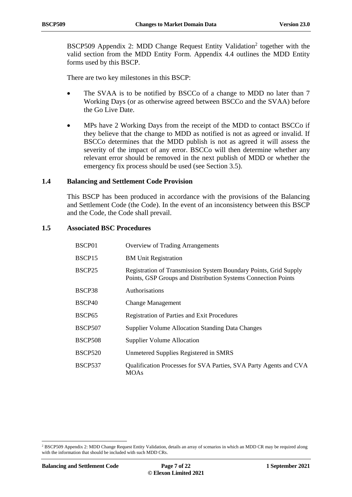BSCP509 Appendix 2: MDD Change Request Entity Validation<sup>2</sup> together with the valid section from the MDD Entity Form. Appendix 4.4 outlines the MDD Entity forms used by this BSCP.

There are two key milestones in this BSCP:

- The SVAA is to be notified by BSCCo of a change to MDD no later than 7 Working Days (or as otherwise agreed between BSCCo and the SVAA) before the Go Live Date.
- MPs have 2 Working Days from the receipt of the MDD to contact BSCCo if they believe that the change to MDD as notified is not as agreed or invalid. If BSCCo determines that the MDD publish is not as agreed it will assess the severity of the impact of any error. BSCCo will then determine whether any relevant error should be removed in the next publish of MDD or whether the emergency fix process should be used (see Section 3.5).

#### <span id="page-6-0"></span>**1.4 Balancing and Settlement Code Provision**

This BSCP has been produced in accordance with the provisions of the Balancing and Settlement Code (the Code). In the event of an inconsistency between this BSCP and the Code, the Code shall prevail.

#### <span id="page-6-1"></span>**1.5 Associated BSC Procedures**

| BSCP01         | <b>Overview of Trading Arrangements</b>                                                                                                  |
|----------------|------------------------------------------------------------------------------------------------------------------------------------------|
| BSCP15         | <b>BM Unit Registration</b>                                                                                                              |
| BSCP25         | <b>Registration of Transmission System Boundary Points, Grid Supply</b><br>Points, GSP Groups and Distribution Systems Connection Points |
| BSCP38         | Authorisations                                                                                                                           |
| BSCP40         | <b>Change Management</b>                                                                                                                 |
| BSCP65         | <b>Registration of Parties and Exit Procedures</b>                                                                                       |
| <b>BSCP507</b> | <b>Supplier Volume Allocation Standing Data Changes</b>                                                                                  |
| BSCP508        | <b>Supplier Volume Allocation</b>                                                                                                        |
| <b>BSCP520</b> | Unmetered Supplies Registered in SMRS                                                                                                    |
| <b>BSCP537</b> | Qualification Processes for SVA Parties, SVA Party Agents and CVA<br><b>MOAs</b>                                                         |

<u>.</u>

<sup>&</sup>lt;sup>2</sup> BSCP509 Appendix 2: MDD Change Request Entity Validation, details an array of scenarios in which an MDD CR may be required along with the information that should be included with such MDD CRs.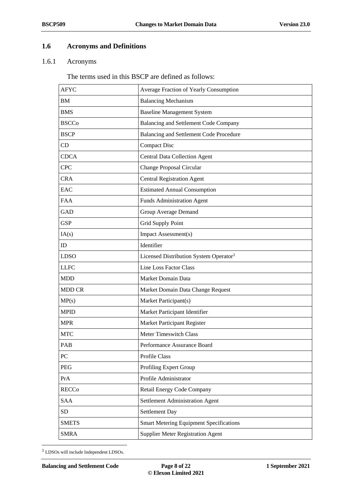### <span id="page-7-0"></span>**1.6 Acronyms and Definitions**

#### <span id="page-7-1"></span>1.6.1 Acronyms

The terms used in this BSCP are defined as follows:

| <b>AFYC</b>   | Average Fraction of Yearly Consumption             |  |  |
|---------------|----------------------------------------------------|--|--|
| BM            | <b>Balancing Mechanism</b>                         |  |  |
| <b>BMS</b>    | <b>Baseline Management System</b>                  |  |  |
| <b>BSCCo</b>  | Balancing and Settlement Code Company              |  |  |
| <b>BSCP</b>   | Balancing and Settlement Code Procedure            |  |  |
| CD            | <b>Compact Disc</b>                                |  |  |
| <b>CDCA</b>   | <b>Central Data Collection Agent</b>               |  |  |
| <b>CPC</b>    | Change Proposal Circular                           |  |  |
| <b>CRA</b>    | <b>Central Registration Agent</b>                  |  |  |
| EAC           | <b>Estimated Annual Consumption</b>                |  |  |
| <b>FAA</b>    | <b>Funds Administration Agent</b>                  |  |  |
| <b>GAD</b>    | Group Average Demand                               |  |  |
| <b>GSP</b>    | Grid Supply Point                                  |  |  |
| IA(s)         | Impact Assessment(s)                               |  |  |
| ID            | Identifier                                         |  |  |
| <b>LDSO</b>   | Licensed Distribution System Operator <sup>3</sup> |  |  |
| <b>LLFC</b>   | Line Loss Factor Class                             |  |  |
| <b>MDD</b>    | Market Domain Data                                 |  |  |
| <b>MDD CR</b> | Market Domain Data Change Request                  |  |  |
| MP(s)         | Market Participant(s)                              |  |  |
| <b>MPID</b>   | Market Participant Identifier                      |  |  |
| <b>MPR</b>    | Market Participant Register                        |  |  |
| <b>MTC</b>    | <b>Meter Timeswitch Class</b>                      |  |  |
| PAB           | Performance Assurance Board                        |  |  |
| PC            | Profile Class                                      |  |  |
| PEG           | Profiling Expert Group                             |  |  |
| PrA           | Profile Administrator                              |  |  |
| <b>RECCo</b>  | Retail Energy Code Company                         |  |  |
| <b>SAA</b>    | Settlement Administration Agent                    |  |  |
| <b>SD</b>     | Settlement Day                                     |  |  |
| <b>SMETS</b>  | <b>Smart Metering Equipment Specifications</b>     |  |  |
| <b>SMRA</b>   | <b>Supplier Meter Registration Agent</b>           |  |  |

<sup>3</sup> LDSOs will include Independent LDSOs.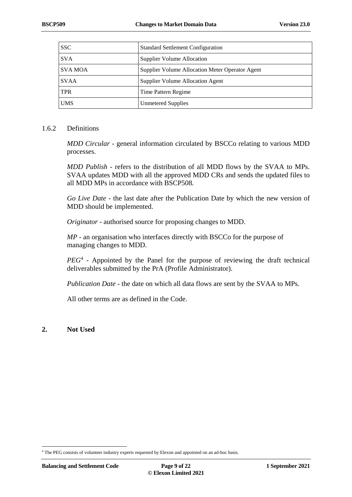| <b>SSC</b>     | <b>Standard Settlement Configuration</b>        |
|----------------|-------------------------------------------------|
| <b>SVA</b>     | Supplier Volume Allocation                      |
| <b>SVA MOA</b> | Supplier Volume Allocation Meter Operator Agent |
| <b>SVAA</b>    | Supplier Volume Allocation Agent                |
| <b>TPR</b>     | Time Pattern Regime                             |
| <b>UMS</b>     | <b>Unmetered Supplies</b>                       |

#### <span id="page-8-0"></span>1.6.2 Definitions

*MDD Circular -* general information circulated by BSCCo relating to various MDD processes.

*MDD Publish -* refers to the distribution of all MDD flows by the SVAA to MPs. SVAA updates MDD with all the approved MDD CRs and sends the updated files to all MDD MPs in accordance with BSCP508*.*

*Go Live Date -* the last date after the Publication Date by which the new version of MDD should be implemented.

*Originator* - authorised source for proposing changes to MDD.

*MP -* an organisation who interfaces directly with BSCCo for the purpose of managing changes to MDD.

PEG<sup>4</sup> - Appointed by the Panel for the purpose of reviewing the draft technical deliverables submitted by the PrA (Profile Administrator).

*Publication Date* - the date on which all data flows are sent by the SVAA to MPs.

All other terms are as defined in the Code.

<span id="page-8-1"></span>**2. Not Used**

<sup>1</sup> <sup>4</sup> The PEG consists of volunteer industry experts requested by Elexon and appointed on an ad-hoc basis.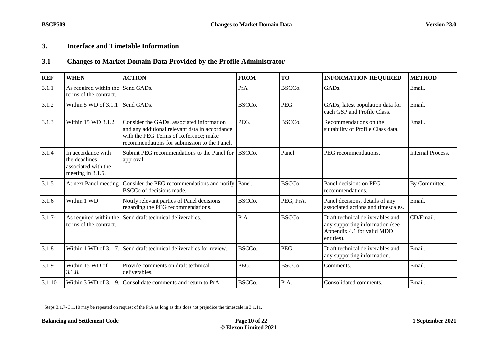## **3. Interface and Timetable Information**

### **3.1 Changes to Market Domain Data Provided by the Profile Administrator**

<span id="page-9-0"></span>

| <b>REF</b>         | <b>WHEN</b>                                                                     | <b>ACTION</b>                                                                                                                                                                        | <b>FROM</b>         | <b>TO</b>           | <b>INFORMATION REQUIRED</b>                                                                                     | <b>METHOD</b>            |
|--------------------|---------------------------------------------------------------------------------|--------------------------------------------------------------------------------------------------------------------------------------------------------------------------------------|---------------------|---------------------|-----------------------------------------------------------------------------------------------------------------|--------------------------|
| 3.1.1              | As required within the<br>terms of the contract.                                | Send GADs.                                                                                                                                                                           | PrA                 | BSCC <sub>o</sub> . | GAD <sub>s</sub> .                                                                                              | Email.                   |
| 3.1.2              | Within 5 WD of 3.1.1                                                            | Send GADs.                                                                                                                                                                           | BSCCo.              | PEG.                | GADs; latest population data for<br>each GSP and Profile Class.                                                 | Email.                   |
| 3.1.3              | Within 15 WD 3.1.2                                                              | Consider the GADs, associated information<br>and any additional relevant data in accordance<br>with the PEG Terms of Reference; make<br>recommendations for submission to the Panel. | PEG.                | BSCC <sub>o</sub> . | Recommendations on the<br>suitability of Profile Class data.                                                    | Email.                   |
| 3.1.4              | In accordance with<br>the deadlines<br>associated with the<br>meeting in 3.1.5. | Submit PEG recommendations to the Panel for<br>approval.                                                                                                                             | BSCC <sub>o</sub> . | Panel.              | PEG recommendations.                                                                                            | <b>Internal Process.</b> |
| 3.1.5              | At next Panel meeting                                                           | Consider the PEG recommendations and notify<br>BSCCo of decisions made.                                                                                                              | Panel.              | BSCC <sub>o</sub> . | Panel decisions on PEG<br>recommendations.                                                                      | By Committee.            |
| 3.1.6              | Within 1 WD                                                                     | Notify relevant parties of Panel decisions<br>regarding the PEG recommendations.                                                                                                     | BSCCo.              | PEG, PrA.           | Panel decisions, details of any<br>associated actions and timescales.                                           | Email.                   |
| 3.1.7 <sup>5</sup> | As required within the<br>terms of the contract.                                | Send draft technical deliverables.                                                                                                                                                   | PrA.                | BSCCo.              | Draft technical deliverables and<br>any supporting information (see<br>Appendix 4.1 for valid MDD<br>entities). | CD/Email.                |
| 3.1.8              |                                                                                 | Within 1 WD of 3.1.7. Send draft technical deliverables for review.                                                                                                                  | BSCC <sub>o</sub> . | PEG.                | Draft technical deliverables and<br>any supporting information.                                                 | Email.                   |
| 3.1.9              | Within 15 WD of<br>3.1.8.                                                       | Provide comments on draft technical<br>deliverables.                                                                                                                                 | PEG.                | BSCC <sub>o</sub> . | Comments.                                                                                                       | Email.                   |
| 3.1.10             |                                                                                 | Within 3 WD of 3.1.9. Consolidate comments and return to PrA.                                                                                                                        | BSCCo.              | PrA.                | Consolidated comments.                                                                                          | Email.                   |

<span id="page-9-1"></span> $5$  Steps 3.1.7- 3.1.10 may be repeated on request of the PrA as long as this does not prejudice the timescale in 3.1.11.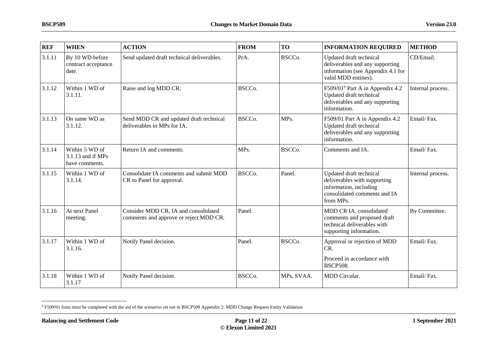<span id="page-10-0"></span>

| <b>REF</b> | <b>WHEN</b>                                           | <b>ACTION</b>                                                                  | <b>FROM</b>         | <b>TO</b>  | <b>INFORMATION REQUIRED</b>                                                                                                    | <b>METHOD</b>     |
|------------|-------------------------------------------------------|--------------------------------------------------------------------------------|---------------------|------------|--------------------------------------------------------------------------------------------------------------------------------|-------------------|
| 3.1.11     | By 10 WD before<br>contract acceptance<br>date.       | Send updated draft technical deliverables.                                     | PrA.                | BSCCo.     | Updated draft technical<br>deliverables and any supporting<br>information (see Appendix 4.1 for<br>valid MDD entities).        | CD/Email.         |
| 3.1.12     | Within 1 WD of<br>3.1.11.                             | Raise and log MDD CR.                                                          | BSCCo.              |            | F509/01 <sup>6</sup> Part A in Appendix 4.2<br>Updated draft technical<br>deliverables and any supporting<br>information.      | Internal process. |
| 3.1.13     | On same WD as<br>3.1.12.                              | Send MDD CR and updated draft technical<br>deliverables to MPs for IA.         | BSCCo.              | MPs.       | F509/01 Part A in Appendix 4.2<br>Updated draft technical<br>deliverables and any supporting<br>information.                   | Email/Fax.        |
| 3.1.14     | Within 5 WD of<br>3.1.13 and if MPs<br>have comments. | Return IA and comments.                                                        | MPs.                | BSCCo.     | Comments and IA.                                                                                                               | Email/Fax.        |
| 3.1.15     | Within 1 WD of<br>3.1.14.                             | Consolidate IA comments and submit MDD<br>CR to Panel for approval.            | BSCCo.              | Panel.     | Updated draft technical<br>deliverables with supporting<br>information, including<br>consolidated comments and IA<br>from MPs. | Internal process. |
| 3.1.16     | At next Panel<br>meeting.                             | Consider MDD CR, IA and consolidated<br>comments and approve or reject MDD CR. | Panel.              |            | MDD CR IA, consolidated<br>comments and proposed draft<br>technical deliverables with<br>supporting information.               | By Committee.     |
| 3.1.17     | Within 1 WD of<br>3.1.16.                             | Notify Panel decision.                                                         | Panel.              | BSCCo.     | Approval or rejection of MDD<br>CR.<br>Proceed in accordance with<br><b>BSCP508.</b>                                           | Email/Fax.        |
| 3.1.18     | Within 1 WD of<br>3.1.17                              | Notify Panel decision.                                                         | BSCC <sub>o</sub> . | MPs, SVAA. | MDD Circular.                                                                                                                  | Email/Fax.        |

<sup>6</sup> F509/01 form must be completed with the aid of the scenarios set out in BSCP509 Appendix 2: MDD Change Request Entity Validation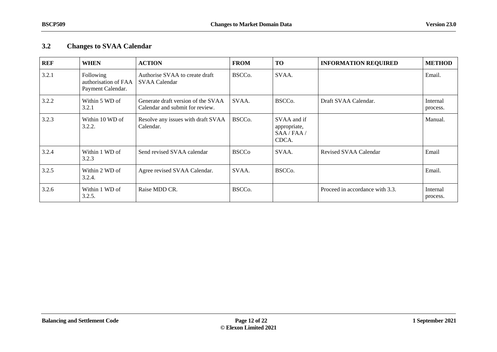### **3.2 Changes to SVAA Calendar**

<span id="page-11-0"></span>

| <b>REF</b> | <b>WHEN</b>                                            | <b>ACTION</b>                                                         | <b>FROM</b>         | <b>TO</b>                                           | <b>INFORMATION REQUIRED</b>     | <b>METHOD</b>        |
|------------|--------------------------------------------------------|-----------------------------------------------------------------------|---------------------|-----------------------------------------------------|---------------------------------|----------------------|
| 3.2.1      | Following<br>authorisation of FAA<br>Payment Calendar. | Authorise SVAA to create draft<br><b>SVAA Calendar</b>                | BSCCo.              | SVAA.                                               |                                 | Email.               |
| 3.2.2      | Within 5 WD of<br>3.2.1                                | Generate draft version of the SVAA<br>Calendar and submit for review. | SVAA.               | BSCC <sub>o</sub> .                                 | Draft SVAA Calendar.            | Internal<br>process. |
| 3.2.3      | Within 10 WD of<br>3.2.2.                              | Resolve any issues with draft SVAA<br>Calendar.                       | BSCC <sub>o</sub> . | SVAA and if<br>appropriate,<br>SAA / FAA /<br>CDCA. |                                 | Manual.              |
| 3.2.4      | Within 1 WD of<br>3.2.3                                | Send revised SVAA calendar                                            | <b>BSCCo</b>        | SVAA.                                               | Revised SVAA Calendar           | Email                |
| 3.2.5      | Within 2 WD of<br>3.2.4.                               | Agree revised SVAA Calendar.                                          | SVAA.               | BSCC <sub>o</sub> .                                 |                                 | Email.               |
| 3.2.6      | Within 1 WD of<br>3.2.5.                               | Raise MDD CR.                                                         | BSCCo.              |                                                     | Proceed in accordance with 3.3. | Internal<br>process. |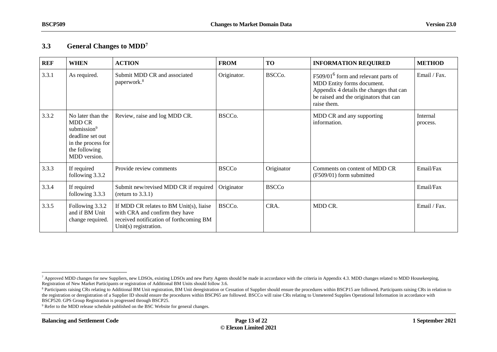### **3.3 General Changes to MDD<sup>7</sup>**

| <b>REF</b> | <b>WHEN</b>                                                                                                                              | <b>ACTION</b>                                                                                                                                 | <b>FROM</b>         | <b>TO</b>    | <b>INFORMATION REQUIRED</b>                                                                                                                                                       | <b>METHOD</b>        |
|------------|------------------------------------------------------------------------------------------------------------------------------------------|-----------------------------------------------------------------------------------------------------------------------------------------------|---------------------|--------------|-----------------------------------------------------------------------------------------------------------------------------------------------------------------------------------|----------------------|
| 3.3.1      | As required.                                                                                                                             | Submit MDD CR and associated<br>paperwork. <sup>8</sup>                                                                                       | Originator.         | BSCCo.       | F509/01 <sup>6</sup> form and relevant parts of<br>MDD Entity forms document.<br>Appendix 4 details the changes that can<br>be raised and the originators that can<br>raise them. | Email / Fax.         |
| 3.3.2      | No later than the<br><b>MDD CR</b><br>submission <sup>9</sup><br>deadline set out<br>in the process for<br>the following<br>MDD version. | Review, raise and log MDD CR.                                                                                                                 | BSCCo.              |              | MDD CR and any supporting<br>information.                                                                                                                                         | Internal<br>process. |
| 3.3.3      | If required<br>following 3.3.2                                                                                                           | Provide review comments                                                                                                                       | <b>BSCCo</b>        | Originator   | Comments on content of MDD CR<br>(F509/01) form submitted                                                                                                                         | Email/Fax            |
| 3.3.4      | If required<br>following 3.3.3                                                                                                           | Submit new/revised MDD CR if required<br>(return to $3.3.1$ )                                                                                 | Originator          | <b>BSCCo</b> |                                                                                                                                                                                   | Email/Fax            |
| 3.3.5      | Following 3.3.2<br>and if BM Unit<br>change required.                                                                                    | If MDD CR relates to BM Unit(s), liaise<br>with CRA and confirm they have<br>received notification of forthcoming BM<br>Unit(s) registration. | BSCC <sub>o</sub> . | CRA.         | MDD CR.                                                                                                                                                                           | Email / Fax.         |

<sup>9</sup> Refer to the MDD release schedule published on the BSC Website for general changes.

<span id="page-12-0"></span> $\overline{a}$ <sup>7</sup> Approved MDD changes for new Suppliers, new LDSOs, existing LDSOs and new Party Agents should be made in accordance with the criteria in Appendix 4.3. MDD changes related to MDD Housekeeping, Registration of New Market Participants or registration of Additional BM Units should follow 3.6.

<sup>&</sup>lt;sup>8</sup> Participants raising CRs relating to Additional BM Unit registration, BM Unit deregistration or Cessation of Supplier should ensure the procedures within BSCP15 are followed. Participants raising CRs in relation to the registration or deregistration of a Supplier ID should ensure the procedures within BSCP65 are followed. BSCCo will raise CRs relating to Unmetered Supplies Operational Information in accordance with BSCP520. GPS Group Registration is progressed through BSCP25.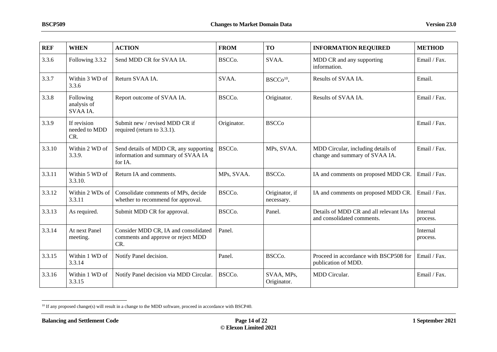| <b>REF</b> | <b>WHEN</b>                          | <b>ACTION</b>                                                                           | <b>FROM</b>         | <b>TO</b>                    | <b>INFORMATION REQUIRED</b>                                          | <b>METHOD</b>        |
|------------|--------------------------------------|-----------------------------------------------------------------------------------------|---------------------|------------------------------|----------------------------------------------------------------------|----------------------|
| 3.3.6      | Following 3.3.2                      | Send MDD CR for SVAA IA.                                                                | BSCCo.              | SVAA.                        | MDD CR and any supporting<br>information.                            | Email / Fax.         |
| 3.3.7      | Within 3 WD of<br>3.3.6              | Return SVAA IA.                                                                         | SVAA.               | BSCCo <sup>10</sup> .        | Results of SVAA IA.                                                  | Email.               |
| 3.3.8      | Following<br>analysis of<br>SVAA IA. | Report outcome of SVAA IA.                                                              | BSCCo.              | Originator.                  | Results of SVAA IA.                                                  | Email / Fax.         |
| 3.3.9      | If revision<br>needed to MDD<br>CR.  | Submit new / revised MDD CR if<br>required (return to 3.3.1).                           | Originator.         | <b>BSCCo</b>                 |                                                                      | Email / Fax.         |
| 3.3.10     | Within 2 WD of<br>3.3.9.             | Send details of MDD CR, any supporting<br>information and summary of SVAA IA<br>for IA. | BSCC <sub>o</sub> . | MPs, SVAA.                   | MDD Circular, including details of<br>change and summary of SVAA IA. | Email / Fax.         |
| 3.3.11     | Within 5 WD of<br>3.3.10.            | Return IA and comments.                                                                 | MPs, SVAA.          | BSCCo.                       | IA and comments on proposed MDD CR.                                  | Email / Fax.         |
| 3.3.12     | Within 2 WDs of<br>3.3.11            | Consolidate comments of MPs, decide<br>whether to recommend for approval.               | BSCCo.              | Originator, if<br>necessary. | IA and comments on proposed MDD CR.                                  | Email / Fax.         |
| 3.3.13     | As required.                         | Submit MDD CR for approval.                                                             | BSCCo.              | Panel.                       | Details of MDD CR and all relevant IAs<br>and consolidated comments. | Internal<br>process. |
| 3.3.14     | At next Panel<br>meeting.            | Consider MDD CR, IA and consolidated<br>comments and approve or reject MDD<br>CR.       | Panel.              |                              |                                                                      | Internal<br>process. |
| 3.3.15     | Within 1 WD of<br>3.3.14             | Notify Panel decision.                                                                  | Panel.              | BSCCo.                       | Proceed in accordance with BSCP508 for<br>publication of MDD.        | Email / Fax.         |
| 3.3.16     | Within 1 WD of<br>3.3.15             | Notify Panel decision via MDD Circular.                                                 | BSCCo.              | SVAA, MPs,<br>Originator.    | MDD Circular.                                                        | Email / Fax.         |

<sup>&</sup>lt;sup>10</sup> If any proposed change(s) will result in a change to the MDD software, proceed in accordance with BSCP40.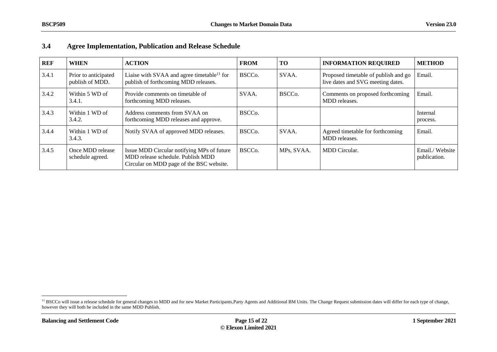| <b>REF</b> | <b>WHEN</b>                             | <b>ACTION</b>                                                                                                               | <b>FROM</b>         | <b>TO</b>           | <b>INFORMATION REQUIRED</b>                                               | <b>METHOD</b>                  |
|------------|-----------------------------------------|-----------------------------------------------------------------------------------------------------------------------------|---------------------|---------------------|---------------------------------------------------------------------------|--------------------------------|
| 3.4.1      | Prior to anticipated<br>publish of MDD. | Liaise with SVAA and agree timetable <sup>11</sup> for<br>publish of forthcoming MDD releases.                              | BSCC <sub>0</sub> . | SVAA.               | Proposed timetable of publish and go<br>live dates and SVG meeting dates. | Email.                         |
| 3.4.2      | Within 5 WD of<br>3.4.1.                | Provide comments on timetable of<br>forthcoming MDD releases.                                                               | SVAA.               | BSCC <sub>o</sub> . | Comments on proposed forthcoming<br>MDD releases.                         | Email.                         |
| 3.4.3      | Within 1 WD of<br>3.4.2.                | Address comments from SVAA on<br>forthcoming MDD releases and approve.                                                      | BSCC <sub>0</sub> . |                     |                                                                           | Internal<br>process.           |
| 3.4.4      | Within 1 WD of<br>3.4.3.                | Notify SVAA of approved MDD releases.                                                                                       | BSCC <sub>0</sub> . | SVAA.               | Agreed timetable for forthcoming<br>MDD releases.                         | Email.                         |
| 3.4.5      | Once MDD release<br>schedule agreed.    | Issue MDD Circular notifying MPs of future<br>MDD release schedule. Publish MDD<br>Circular on MDD page of the BSC website. | BSCC <sub>0</sub> . | MPs, SVAA.          | <b>MDD</b> Circular.                                                      | Email./Website<br>publication. |

### **3.4 Agree Implementation, Publication and Release Schedule**

<span id="page-14-0"></span><sup>&</sup>lt;sup>11</sup> BSCCo will issue a release schedule for general changes to MDD and for new Market Participants,Party Agents and Additional BM Units. The Change Request submission dates will differ for each type of change, however they will both be included in the same MDD Publish.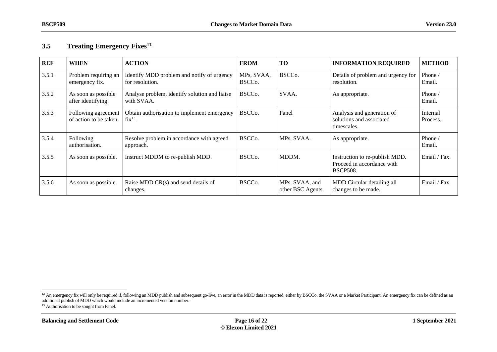## **3.5 Treating Emergency Fixes<sup>12</sup>**

| <b>REF</b> | <b>WHEN</b>                                   | <b>ACTION</b>                                                 | <b>FROM</b>                       | <b>TO</b>                           | <b>INFORMATION REQUIRED</b>                                                     | <b>METHOD</b>        |
|------------|-----------------------------------------------|---------------------------------------------------------------|-----------------------------------|-------------------------------------|---------------------------------------------------------------------------------|----------------------|
| 3.5.1      | Problem requiring an<br>emergency fix.        | Identify MDD problem and notify of urgency<br>for resolution. | MPs, SVAA,<br>BSCC <sub>o</sub> . | BSCC <sub>o</sub> .                 | Details of problem and urgency for<br>resolution.                               | Phone /<br>Email.    |
| 3.5.2      | As soon as possible<br>after identifying.     | Analyse problem, identify solution and liaise<br>with SVAA.   | BSCCo.                            | SVAA.                               | As appropriate.                                                                 | Phone /<br>Email.    |
| 3.5.3      | Following agreement<br>of action to be taken. | Obtain authorisation to implement emergency<br>$fix^{13}$ .   | BSCC <sub>o</sub> .               | Panel                               | Analysis and generation of<br>solutions and associated<br>timescales.           | Internal<br>Process. |
| 3.5.4      | Following<br>authorisation.                   | Resolve problem in accordance with agreed<br>approach.        | BSCC <sub>o</sub> .               | MPs, SVAA.                          | As appropriate.                                                                 | Phone /<br>Email.    |
| 3.5.5      | As soon as possible.                          | Instruct MDDM to re-publish MDD.                              | BSCC <sub>o</sub> .               | MDDM.                               | Instruction to re-publish MDD.<br>Proceed in accordance with<br><b>BSCP508.</b> | Email / Fax.         |
| 3.5.6      | As soon as possible.                          | Raise MDD $CR(s)$ and send details of<br>changes.             | BSCC <sub>o</sub> .               | MPs, SVAA, and<br>other BSC Agents. | MDD Circular detailing all<br>changes to be made.                               | Email / Fax.         |

<span id="page-15-0"></span><sup>&</sup>lt;sup>12</sup> An emergency fix will only be required if, following an MDD publish and subsequent go-live, an error in the MDD data is reported, either by BSCCo, the SVAA or a Market Participant. An emergency fix can be defined as a additional publish of MDD which would include an incremented version number.

<sup>&</sup>lt;sup>13</sup> Authorisation to be sought from Panel.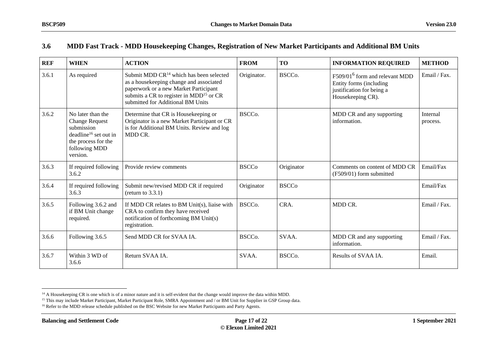### **3.6 MDD Fast Track - MDD Housekeeping Changes, Registration of New Market Participants and Additional BM Units**

| <b>REF</b> | <b>WHEN</b>                                                                                                                                       | <b>ACTION</b>                                                                                                                                                                                                                | <b>FROM</b>         | <b>TO</b>           | <b>INFORMATION REQUIRED</b>                                                                                             | <b>METHOD</b>        |
|------------|---------------------------------------------------------------------------------------------------------------------------------------------------|------------------------------------------------------------------------------------------------------------------------------------------------------------------------------------------------------------------------------|---------------------|---------------------|-------------------------------------------------------------------------------------------------------------------------|----------------------|
| 3.6.1      | As required                                                                                                                                       | Submit MDD $CR^{14}$ which has been selected<br>as a housekeeping change and associated<br>paperwork or a new Market Participant<br>submits a CR to register in MDD <sup>15</sup> or CR<br>submitted for Additional BM Units | Originator.         | BSCCo.              | F509/01 <sup>6</sup> form and relevant MDD<br>Entity forms (including<br>justification for being a<br>Housekeeping CR). | Email / Fax.         |
| 3.6.2      | No later than the<br><b>Change Request</b><br>submission<br>deadline <sup>16</sup> set out in<br>the process for the<br>following MDD<br>version. | Determine that CR is Housekeeping or<br>Originator is a new Market Participant or CR<br>is for Additional BM Units. Review and log<br>MDD CR.                                                                                | BSCCo.              |                     | MDD CR and any supporting<br>information.                                                                               | Internal<br>process. |
| 3.6.3      | If required following<br>3.6.2                                                                                                                    | Provide review comments                                                                                                                                                                                                      | <b>BSCCo</b>        | Originator          | Comments on content of MDD CR<br>(F509/01) form submitted                                                               | Email/Fax            |
| 3.6.4      | If required following<br>3.6.3                                                                                                                    | Submit new/revised MDD CR if required<br>(return to $3.3.1$ )                                                                                                                                                                | Originator          | <b>BSCCo</b>        |                                                                                                                         | Email/Fax            |
| 3.6.5      | Following 3.6.2 and<br>if BM Unit change<br>required.                                                                                             | If MDD CR relates to BM Unit(s), liaise with<br>CRA to confirm they have received<br>notification of forthcoming BM Unit(s)<br>registration.                                                                                 | BSCCo.              | CRA.                | MDD CR.                                                                                                                 | Email / Fax.         |
| 3.6.6      | Following 3.6.5                                                                                                                                   | Send MDD CR for SVAA IA.                                                                                                                                                                                                     | BSCC <sub>o</sub> . | SVAA.               | MDD CR and any supporting<br>information.                                                                               | Email / Fax.         |
| 3.6.7      | Within 3 WD of<br>3.6.6                                                                                                                           | Return SVAA IA.                                                                                                                                                                                                              | SVAA.               | BSCC <sub>o</sub> . | Results of SVAA IA.                                                                                                     | Email.               |

<span id="page-16-0"></span> $\overline{a}$ <sup>14</sup> A Housekeeping CR is one which is of a minor nature and it is self-evident that the change would improve the data within MDD.

<sup>&</sup>lt;sup>15</sup> This may include Market Participant, Market Participant Role, SMRA Appointment and / or BM Unit for Supplier in GSP Group data.

<sup>&</sup>lt;sup>16</sup> Refer to the MDD release schedule published on the BSC Website for new Market Participants and Party Agents.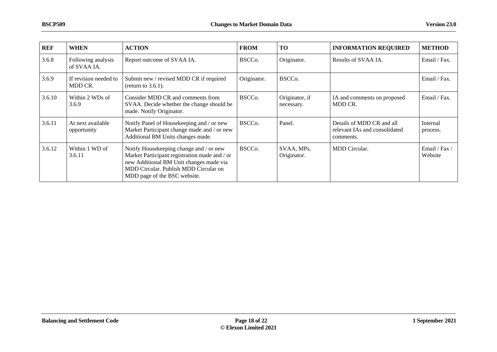| <b>REF</b> | <b>WHEN</b>                       | <b>ACTION</b>                                                                                                                                                                                                | <b>FROM</b>         | <b>TO</b>                    | <b>INFORMATION REQUIRED</b>                                             | <b>METHOD</b>          |
|------------|-----------------------------------|--------------------------------------------------------------------------------------------------------------------------------------------------------------------------------------------------------------|---------------------|------------------------------|-------------------------------------------------------------------------|------------------------|
| 3.6.8      | Following analysis<br>of SVAA IA. | Report outcome of SVAA IA.                                                                                                                                                                                   | BSCC <sub>o</sub> . | Originator.                  | Results of SVAA IA.                                                     | Email / Fax.           |
| 3.6.9      | If revision needed to<br>MDD CR.  | Submit new / revised MDD CR if required<br>(return to $3.6.1$ ).                                                                                                                                             | Originator.         | BSCC <sub>o</sub> .          |                                                                         | Email / Fax.           |
| 3.6.10     | Within 2 WDs of<br>3.6.9          | Consider MDD CR and comments from<br>SVAA. Decide whether the change should be<br>made. Notify Originator.                                                                                                   | BSCC <sub>o</sub> . | Originator, if<br>necessary. | IA and comments on proposed<br>MDD CR.                                  | Email / Fax.           |
| 3.6.11     | At next available<br>opportunity  | Notify Panel of Housekeeping and / or new<br>Market Participant change made and / or new<br>Additional BM Units changes made.                                                                                | BSCC <sub>o</sub> . | Panel.                       | Details of MDD CR and all<br>relevant IAs and consolidated<br>comments. | Internal<br>process.   |
| 3.6.12     | Within 1 WD of<br>3.6.11          | Notify Housekeeping change and / or new<br>Market Participant registration made and / or<br>new Additional BM Unit changes made via<br>MDD Circular. Publish MDD Circular on<br>MDD page of the BSC website. | BSCC <sub>o</sub> . | SVAA, MPs.<br>Originator.    | MDD Circular.                                                           | Email / Fax<br>Website |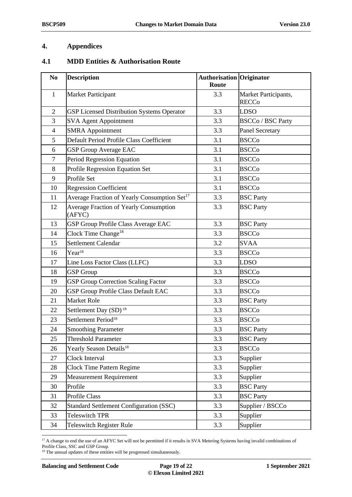### <span id="page-18-0"></span>**4. Appendices**

#### <span id="page-18-1"></span>**4.1 MDD Entities & Authorisation Route**

<span id="page-18-2"></span>

| N <sub>0</sub> | <b>Description</b>                                       | <b>Authorisation Originator</b><br>Route |                                      |
|----------------|----------------------------------------------------------|------------------------------------------|--------------------------------------|
| $\mathbf{1}$   | <b>Market Participant</b>                                | 3.3                                      | Market Participants,<br><b>RECCo</b> |
| $\overline{c}$ | <b>GSP Licensed Distribution Systems Operator</b>        | 3.3                                      | <b>LDSO</b>                          |
| 3              | <b>SVA Agent Appointment</b>                             | 3.3                                      | <b>BSCCo / BSC Party</b>             |
| $\overline{4}$ | <b>SMRA</b> Appointment                                  | 3.3                                      | <b>Panel Secretary</b>               |
| 5              | Default Period Profile Class Coefficient                 | 3.1                                      | <b>BSCCo</b>                         |
| 6              | <b>GSP Group Average EAC</b>                             | 3.1                                      | <b>BSCCo</b>                         |
| $\tau$         | Period Regression Equation                               | 3.1                                      | <b>BSCCo</b>                         |
| 8              | Profile Regression Equation Set                          | 3.1                                      | <b>BSCCo</b>                         |
| 9              | Profile Set                                              | 3.1                                      | <b>BSCCo</b>                         |
| 10             | <b>Regression Coefficient</b>                            | 3.1                                      | <b>BSCCo</b>                         |
| 11             | Average Fraction of Yearly Consumption Set <sup>17</sup> | 3.3                                      | <b>BSC Party</b>                     |
| 12             | <b>Average Fraction of Yearly Consumption</b><br>(AFYC)  | 3.3                                      | <b>BSC</b> Party                     |
| 13             | GSP Group Profile Class Average EAC                      | 3.3                                      | <b>BSC</b> Party                     |
| 14             | Clock Time Change <sup>18</sup>                          | 3.3                                      | <b>BSCCo</b>                         |
| 15             | Settlement Calendar                                      | 3.2                                      | <b>SVAA</b>                          |
| 16             | Year <sup>18</sup>                                       | 3.3                                      | <b>BSCCo</b>                         |
| 17             | Line Loss Factor Class (LLFC)                            | 3.3                                      | <b>LDSO</b>                          |
| 18             | <b>GSP</b> Group                                         | 3.3                                      | <b>BSCCo</b>                         |
| 19             | <b>GSP Group Correction Scaling Factor</b>               | 3.3                                      | <b>BSCCo</b>                         |
| 20             | GSP Group Profile Class Default EAC                      | 3.3                                      | <b>BSCCo</b>                         |
| 21             | <b>Market Role</b>                                       | 3.3                                      | <b>BSC</b> Party                     |
| 22             | Settlement Day (SD) <sup>18</sup>                        | 3.3                                      | <b>BSCCo</b>                         |
| 23             | Settlement Period <sup>18</sup>                          | 3.3                                      | <b>BSCCo</b>                         |
| 24             | <b>Smoothing Parameter</b>                               | 3.3                                      | <b>BSC</b> Party                     |
| 25             | <b>Threshold Parameter</b>                               | 3.3                                      | <b>BSC Party</b>                     |
| 26             | Yearly Season Details <sup>18</sup>                      | 3.3                                      | <b>BSCCo</b>                         |
| 27             | Clock Interval                                           | 3.3                                      | Supplier                             |
| 28             | <b>Clock Time Pattern Regime</b>                         | 3.3                                      | Supplier                             |
| 29             | <b>Measurement Requirement</b>                           | 3.3                                      | Supplier                             |
| 30             | Profile                                                  | 3.3                                      | <b>BSC</b> Party                     |
| 31             | Profile Class                                            | 3.3                                      | <b>BSC</b> Party                     |
| 32             | <b>Standard Settlement Configuration (SSC)</b>           | 3.3                                      | Supplier / BSCCo                     |
| 33             | <b>Teleswitch TPR</b>                                    | 3.3                                      | Supplier                             |
| 34             | <b>Teleswitch Register Rule</b>                          | 3.3                                      | Supplier                             |

 A change to end the use of an AFYC Set will not be permitted if it results in SVA Metering Systems having invalid combinations of Profile Class, SSC and GSP Group.

<sup>&</sup>lt;sup>18</sup> The annual updates of these entities will be progressed simultaneously.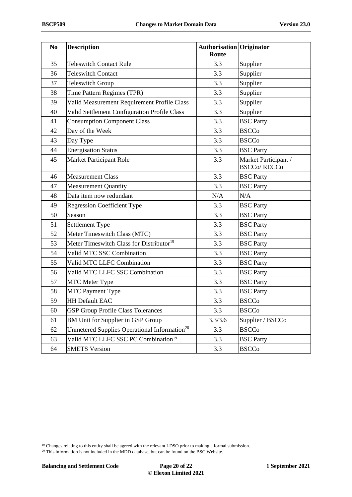<span id="page-19-0"></span>

| N <sub>0</sub> | <b>Description</b>                                       | <b>Authorisation Originator</b><br>Route |                                            |
|----------------|----------------------------------------------------------|------------------------------------------|--------------------------------------------|
| 35             | <b>Teleswitch Contact Rule</b>                           | 3.3                                      | Supplier                                   |
| 36             | <b>Teleswitch Contact</b>                                | 3.3                                      | Supplier                                   |
| 37             | <b>Teleswitch Group</b>                                  | 3.3                                      | Supplier                                   |
| 38             | Time Pattern Regimes (TPR)                               | 3.3                                      | Supplier                                   |
| 39             | Valid Measurement Requirement Profile Class              | 3.3                                      | Supplier                                   |
| 40             | Valid Settlement Configuration Profile Class             | 3.3                                      | Supplier                                   |
| 41             | <b>Consumption Component Class</b>                       | 3.3                                      | <b>BSC</b> Party                           |
| 42             | Day of the Week                                          | 3.3                                      | <b>BSCCo</b>                               |
| 43             | Day Type                                                 | 3.3                                      | <b>BSCCo</b>                               |
| 44             | <b>Energisation Status</b>                               | 3.3                                      | <b>BSC</b> Party                           |
| 45             | Market Participant Role                                  | 3.3                                      | Market Participant /<br><b>BSCCo/RECCo</b> |
| 46             | <b>Measurement Class</b>                                 | 3.3                                      | <b>BSC</b> Party                           |
| 47             | <b>Measurement Quantity</b>                              | 3.3                                      | <b>BSC</b> Party                           |
| 48             | Data item now redundant                                  | N/A                                      | N/A                                        |
| 49             | <b>Regression Coefficient Type</b>                       | 3.3                                      | <b>BSC</b> Party                           |
| 50             | Season                                                   | 3.3                                      | <b>BSC</b> Party                           |
| 51             | Settlement Type                                          | 3.3                                      | <b>BSC</b> Party                           |
| 52             | Meter Timeswitch Class (MTC)                             | 3.3                                      | <b>BSC</b> Party                           |
| 53             | Meter Timeswitch Class for Distributor <sup>19</sup>     | 3.3                                      | <b>BSC</b> Party                           |
| 54             | Valid MTC SSC Combination                                | 3.3                                      | <b>BSC</b> Party                           |
| 55             | Valid MTC LLFC Combination                               | 3.3                                      | <b>BSC</b> Party                           |
| 56             | Valid MTC LLFC SSC Combination                           | 3.3                                      | <b>BSC</b> Party                           |
| 57             | <b>MTC</b> Meter Type                                    | 3.3                                      | <b>BSC</b> Party                           |
| 58             | <b>MTC Payment Type</b>                                  | 3.3                                      | <b>BSC</b> Party                           |
| 59             | <b>HH Default EAC</b>                                    | 3.3                                      | <b>BSCCo</b>                               |
| 60             | <b>GSP Group Profile Class Tolerances</b>                | 3.3                                      | <b>BSCCo</b>                               |
| 61             | BM Unit for Supplier in GSP Group                        | 3.3/3.6                                  | Supplier / BSCCo                           |
| 62             | Unmetered Supplies Operational Information <sup>20</sup> | 3.3                                      | <b>BSCCo</b>                               |
| 63             | Valid MTC LLFC SSC PC Combination <sup>19</sup>          | 3.3                                      | <b>BSC</b> Party                           |
| 64             | <b>SMETS Version</b>                                     | 3.3                                      | <b>BSCCo</b>                               |

<sup>&</sup>lt;sup>19</sup> Changes relating to this entity shall be agreed with the relevant LDSO prior to making a formal submission.

This information is not included in the MDD database, but can be found on the BSC Website.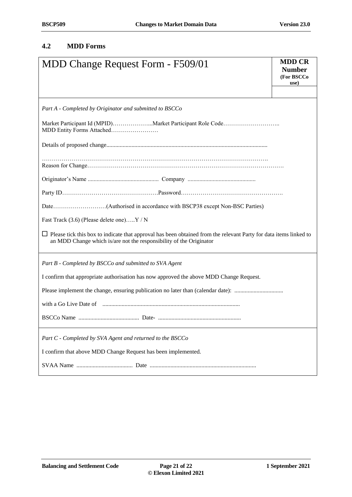### <span id="page-20-0"></span>**4.2 MDD Forms**

| MDD Change Request Form - F509/01                                                                                                                                                               | <b>MDD CR</b><br><b>Number</b><br>(For BSCCo<br>use) |  |  |  |  |  |
|-------------------------------------------------------------------------------------------------------------------------------------------------------------------------------------------------|------------------------------------------------------|--|--|--|--|--|
| Part A - Completed by Originator and submitted to BSCCo                                                                                                                                         |                                                      |  |  |  |  |  |
| Market Participant Id (MPID)Market Participant Role Code<br>MDD Entity Forms Attached                                                                                                           |                                                      |  |  |  |  |  |
|                                                                                                                                                                                                 |                                                      |  |  |  |  |  |
|                                                                                                                                                                                                 |                                                      |  |  |  |  |  |
|                                                                                                                                                                                                 |                                                      |  |  |  |  |  |
|                                                                                                                                                                                                 |                                                      |  |  |  |  |  |
| Fast Track (3.6) (Please delete one)Y / N                                                                                                                                                       |                                                      |  |  |  |  |  |
| $\Box$ Please tick this box to indicate that approval has been obtained from the relevant Party for data items linked to<br>an MDD Change which is/are not the responsibility of the Originator |                                                      |  |  |  |  |  |
| Part B - Completed by BSCCo and submitted to SVA Agent                                                                                                                                          |                                                      |  |  |  |  |  |
| I confirm that appropriate authorisation has now approved the above MDD Change Request.                                                                                                         |                                                      |  |  |  |  |  |
|                                                                                                                                                                                                 |                                                      |  |  |  |  |  |
|                                                                                                                                                                                                 |                                                      |  |  |  |  |  |
|                                                                                                                                                                                                 |                                                      |  |  |  |  |  |
| Part C - Completed by SVA Agent and returned to the BSCCo                                                                                                                                       |                                                      |  |  |  |  |  |
| I confirm that above MDD Change Request has been implemented.                                                                                                                                   |                                                      |  |  |  |  |  |
|                                                                                                                                                                                                 |                                                      |  |  |  |  |  |